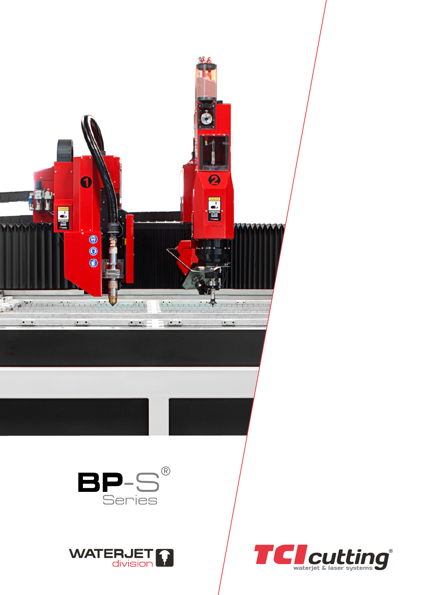

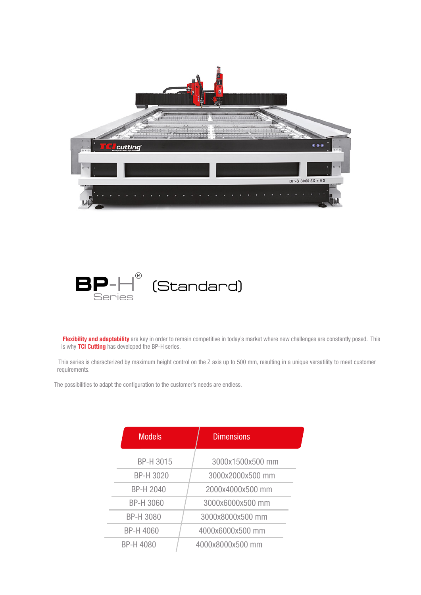



Flexibility and adaptability are key in order to remain competitive in today's market where new challenges are constantly posed. This is why TCI Cutting has developed the BP-H series.

This series is characterized by maximum height control on the Z axis up to 500 mm, resulting in a unique versatility to meet customer requirements.

The possibilities to adapt the configuration to the customer's needs are endless.

| <b>Models</b>    | <b>Dimensions</b> |  |
|------------------|-------------------|--|
| BP-H 3015        | 3000x1500x500 mm  |  |
| BP-H 3020        | 3000x2000x500 mm  |  |
| <b>BP-H 2040</b> | 2000x4000x500 mm  |  |
| <b>BP-H 3060</b> | 3000x6000x500 mm  |  |
| <b>BP-H 3080</b> | 3000x8000x500 mm  |  |
| <b>BP-H 4060</b> | 4000x6000x500 mm  |  |
| <b>BP-H 4080</b> | 4000x8000x500 mm  |  |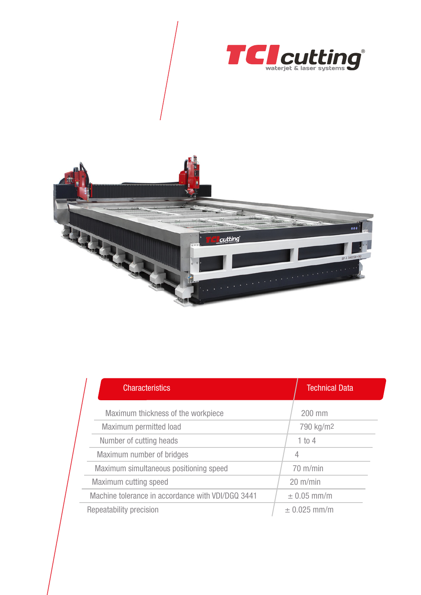



| <b>Characteristics</b>                            |  | <b>Technical Data</b> |  |
|---------------------------------------------------|--|-----------------------|--|
| Maximum thickness of the workpiece                |  | 200 mm                |  |
| Maximum permitted load                            |  | 790 kg/m <sup>2</sup> |  |
| Number of cutting heads                           |  | 1 to 4                |  |
| Maximum number of bridges                         |  | 4                     |  |
| Maximum simultaneous positioning speed            |  | $70 \text{ m/min}$    |  |
| Maximum cutting speed                             |  | $20 \text{ m/min}$    |  |
| Machine tolerance in accordance with VDI/DGQ 3441 |  | $\pm$ 0.05 mm/m       |  |
| Repeatability precision                           |  | $± 0.025$ mm/m        |  |